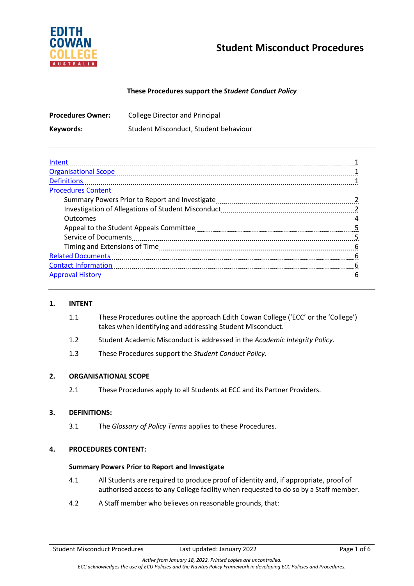

# **Student Misconduct Procedures**

## **These Procedures support the** *Student Conduct Policy*

| <b>Procedures Owner:</b> | <b>College Director and Principal</b> |
|--------------------------|---------------------------------------|
| Keywords:                | Student Misconduct, Student behaviour |

| Intent                      |   |
|-----------------------------|---|
| <b>Organisational Scope</b> |   |
| <b>Definitions</b>          |   |
| <b>Procedures Content</b>   |   |
|                             |   |
|                             |   |
| <b>Outcomes</b>             |   |
|                             | 5 |
| <b>Service of Documents</b> |   |
|                             | 6 |
| <b>Related Documents</b>    | 6 |
| <b>Contact Information</b>  | 6 |
| <b>Approval History</b>     | h |

#### **1. INTENT**

- 1.1 These Procedures outline the approach Edith Cowan College ('ECC' or the 'College') takes when identifying and addressing Student Misconduct.
- 1.2 Student Academic Misconduct is addressed in the *Academic Integrity Policy*.
- 1.3 These Procedures support the *Student Conduct Policy.*

### **2. ORGANISATIONAL SCOPE**

2.1 These Procedures apply to all Students at ECC and its Partner Providers.

### **3. DEFINITIONS:**

3.1 The *Glossary of Policy Terms* applies to these Procedures.

### **4. PROCEDURES CONTENT:**

### **Summary Powers Prior to Report and Investigate**

- 4.1 All Students are required to produce proof of identity and, if appropriate, proof of authorised access to any College facility when requested to do so by a Staff member.
- 4.2 A Staff member who believes on reasonable grounds, that: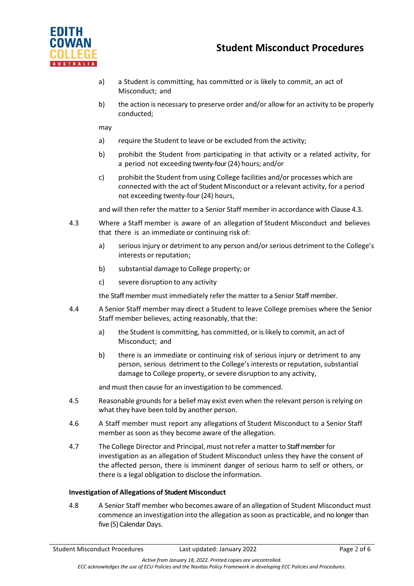

- a) a Student is committing, has committed or is likely to commit, an act of Misconduct; and
- b) the action is necessary to preserve order and/or allow for an activity to be properly conducted;

may

- a) require the Student to leave or be excluded from the activity;
- b) prohibit the Student from participating in that activity or a related activity, for a period not exceeding twenty-four (24) hours; and/or
- c) prohibit the Student from using College facilities and/or processes which are connected with the act of Student Misconduct or a relevant activity, for a period not exceeding twenty-four (24) hours,

and will then refer the matter to a Senior Staff member in accordance with Clause 4.3.

- 4.3 Where a Staff member is aware of an allegation of Student Misconduct and believes that there is an immediate or continuing risk of:
	- a) serious injury or detriment to any person and/or serious detriment to the College's interests or reputation;
	- b) substantial damage to College property; or
	- c) severe disruption to any activity

the Staff member must immediately refer the matter to a Senior Staff member.

- 4.4 A Senior Staff member may direct a Student to leave College premises where the Senior Staff member believes, acting reasonably, that the:
	- a) the Student is committing, has committed, or is likely to commit, an act of Misconduct; and
	- b) there is an immediate or continuing risk of serious injury or detriment to any person, serious detriment to the College's interests or reputation, substantial damage to College property, or severe disruption to any activity,

and must then cause for an investigation to be commenced.

- 4.5 Reasonable grounds for a belief may exist even when the relevant person is relying on what they have been told by another person.
- 4.6 A Staff member must report any allegations of Student Misconduct to a Senior Staff member as soon as they become aware of the allegation.
- 4.7 The College Director and Principal, must notrefer amatterto Staff memberfor investigation as an allegation of Student Misconduct unless they have the consent of the affected person, there is imminent danger of serious harm to self or others, or there is a legal obligation to disclose the information.

### **Investigation of Allegations of Student Misconduct**

4.8 A Senior Staff member who becomes aware of an allegation of Student Misconduct must commence an investigation into the allegation assoon as practicable, and no longer than five (5) Calendar Days.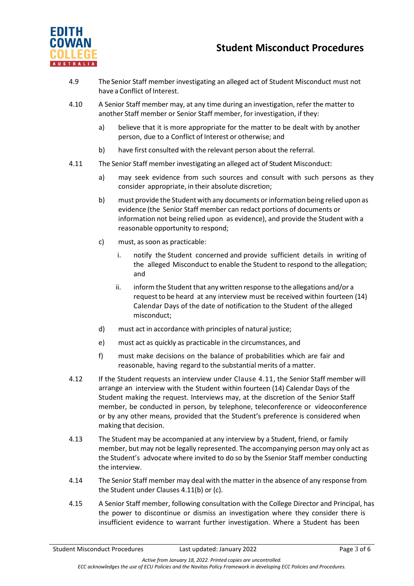

## **Student Misconduct Procedures**

- 4.9 The Senior Staff member investigating an alleged act of Student Misconduct must not have a Conflict of Interest.
- 4.10 A Senior Staff member may, at any time during an investigation, refer the matter to another Staff member or Senior Staff member, for investigation, if they:
	- a) believe that it is more appropriate for the matter to be dealt with by another person, due to a Conflict of Interest or otherwise; and
	- b) have first consulted with the relevant person about the referral.
- 4.11 The Senior Staff member investigating an alleged act of Student Misconduct:
	- a) may seek evidence from such sources and consult with such persons as they consider appropriate, in their absolute discretion;
	- b) must provide the Student with any documents orinformation being relied upon as evidence (the Senior Staff member can redact portions of documents or information not being relied upon as evidence), and provide the Student with a reasonable opportunity to respond;
	- c) must, as soon as practicable:
		- i. notify the Student concerned and provide sufficient details in writing of the alleged Misconduct to enable the Student to respond to the allegation; and
		- ii. inform the Student that any written response to the allegations and/or a requestto be heard at any interview must be received within fourteen (14) Calendar Days of the date of notification to the Student of the alleged misconduct;
	- d) must act in accordance with principles of natural justice;
	- e) must act as quickly as practicable in the circumstances, and
	- f) must make decisions on the balance of probabilities which are fair and reasonable, having regard to the substantial merits of a matter.
- 4.12 If the Student requests an interview under Clause 4.11, the Senior Staff member will arrange an interview with the Student within fourteen (14) Calendar Days of the Student making the request. Interviews may, at the discretion of the Senior Staff member, be conducted in person, by telephone, teleconference or videoconference or by any other means, provided that the Student's preference is considered when making that decision.
- 4.13 The Student may be accompanied at any interview by a Student, friend, or family member, but may not be legally represented. The accompanying person may only act as the Student's advocate where invited to do so by the Ssenior Staff member conducting the interview.
- 4.14 The Senior Staff member may deal with the matter in the absence of any response from the Student under Clauses 4.11(b) or (c).
- 4.15 A Senior Staff member, following consultation with the College Director and Principal, has the power to discontinue or dismiss an investigation where they consider there is insufficient evidence to warrant further investigation. Where a Student has been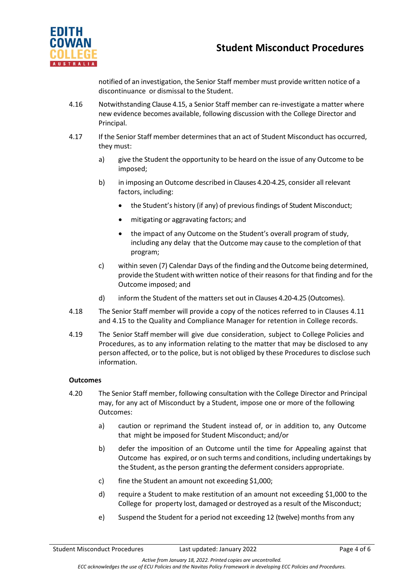

notified of an investigation, the Senior Staff member must provide written notice of a discontinuance or dismissal to the Student.

- 4.16 Notwithstanding Clause 4.15, a Senior Staff member can re-investigate a matter where new evidence becomes available, following discussion with the College Director and Principal.
- 4.17 If the Senior Staff member determines that an act of Student Misconduct has occurred, they must:
	- a) give the Student the opportunity to be heard on the issue of any Outcome to be imposed;
	- b) in imposing an Outcome described in Clauses 4.20-4.25, consider all relevant factors, including:
		- the Student's history (if any) of previous findings of Student Misconduct;
		- mitigating or aggravating factors; and
		- the impact of any Outcome on the Student's overall program of study, including any delay that the Outcome may cause to the completion of that program;
	- c) within seven (7) Calendar Days of the finding and the Outcome being determined, provide the Student withwritten notice of their reasons for that finding and for the Outcome imposed; and
	- d) inform the Student of the matters set out in Clauses 4.20-4.25 (Outcomes).
- 4.18 The Senior Staff member will provide a copy of the notices referred to in Clauses 4.11 and 4.15 to the Quality and Compliance Manager for retention in College records.
- 4.19 The Senior Staff member will give due consideration, subject to College Policies and Procedures, as to any information relating to the matter that may be disclosed to any person affected, or to the police, but is not obliged by these Procedures to disclose such information.

## **Outcomes**

- 4.20 The Senior Staff member, following consultation with the College Director and Principal may, for any act of Misconduct by a Student, impose one or more of the following Outcomes:
	- a) caution or reprimand the Student instead of, or in addition to, any Outcome that might be imposed for Student Misconduct; and/or
	- b) defer the imposition of an Outcome until the time for Appealing against that Outcome has expired, or on such terms and conditions, including undertakings by the Student, asthe person granting the deferment considers appropriate.
	- c) fine the Student an amount not exceeding \$1,000;
	- d) require a Student to make restitution of an amount not exceeding \$1,000 to the College for property lost, damaged or destroyed as a result of the Misconduct;
	- e) Suspend the Student for a period not exceeding 12 (twelve) months from any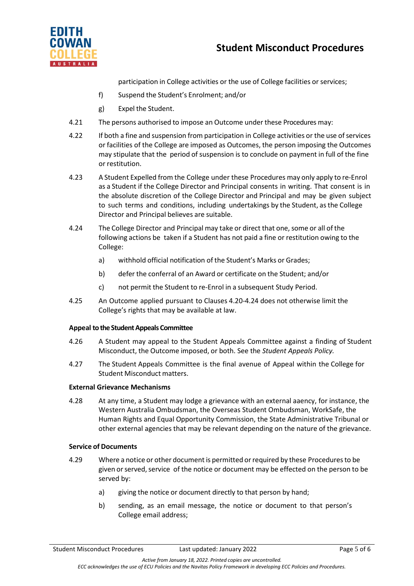

participation in College activities or the use of College facilities or services;

- f) Suspend the Student's Enrolment; and/or
- g) Expel the Student.
- 4.21 The persons authorised to impose an Outcome under these Procedures may:
- 4.22 If both a fine and suspension from participation in College activities or the use of services or facilities of the College are imposed as Outcomes, the person imposing the Outcomes may stipulate that the period of suspension is to conclude on payment in full of the fine or restitution.
- 4.23 A Student Expelled from the College under these Procedures may only apply to re-Enrol as a Student if the College Director and Principal consents in writing. That consent is in the absolute discretion of the College Director and Principal and may be given subject to such terms and conditions, including undertakings by the Student, asthe College Director and Principal believes are suitable.
- 4.24 The College Director and Principal may take or direct that one,some or all of the following actions be taken if a Student has not paid a fine or restitution owing to the College:
	- a) withhold official notification of the Student's Marks or Grades;
	- b) defer the conferral of an Award or certificate on the Student; and/or
	- c) not permit the Student to re-Enrol in a subsequent Study Period.
- 4.25 An Outcome applied pursuant to Clauses 4.20-4.24 does not otherwise limit the College's rights that may be available at law.

## **Appeal to the Student Appeals Committee**

- 4.26 A Student may appeal to the Student Appeals Committee against a finding of Student Misconduct, the Outcome imposed, or both. See the *Student Appeals Policy.*
- 4.27 The Student Appeals Committee is the final avenue of Appeal within the College for Student Misconduct matters.

## **External Grievance Mechanisms**

4.28 At any time, a Student may lodge a grievance with an external aaency, for instance, the Western Australia Ombudsman, the Overseas Student Ombudsman, WorkSafe, the Human Rights and Equal Opportunity Commission, the State Administrative Tribunal or other external agencies that may be relevant depending on the nature of the grievance.

## **Service of Documents**

- 4.29 Where a notice or other documentis permitted orrequired by these Proceduresto be given or served, service of the notice or document may be effected on the person to be served by:
	- a) giving the notice or document directly to that person by hand;
	- b) sending, as an email message, the notice or document to that person's College email address;